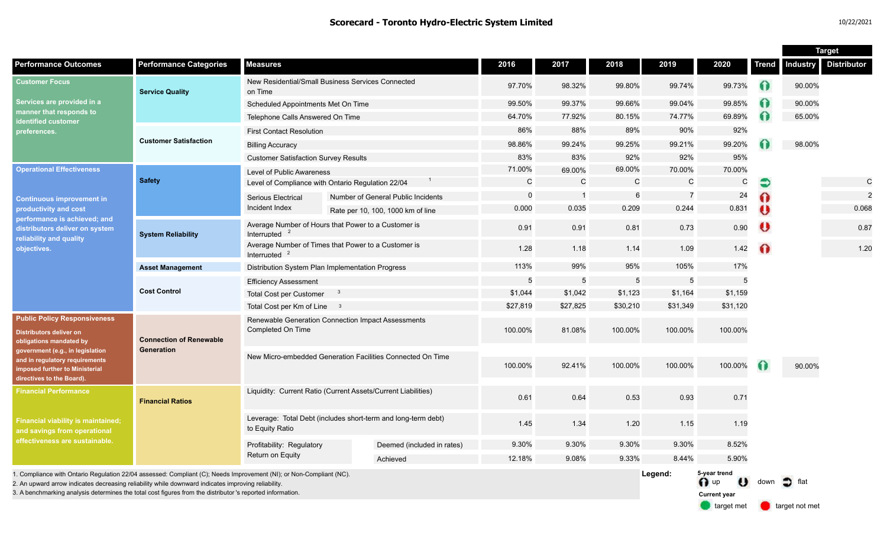|                                                                                                                                                                                                                                                                                                                                        |                                              |                                                                                  |  |                                    |              |                |          |                 |                                             |           |        | <b>Target</b>               |
|----------------------------------------------------------------------------------------------------------------------------------------------------------------------------------------------------------------------------------------------------------------------------------------------------------------------------------------|----------------------------------------------|----------------------------------------------------------------------------------|--|------------------------------------|--------------|----------------|----------|-----------------|---------------------------------------------|-----------|--------|-----------------------------|
| <b>Performance Outcomes</b>                                                                                                                                                                                                                                                                                                            | <b>Performance Categories</b>                | <b>Measures</b>                                                                  |  |                                    | 2016         | 2017           | 2018     | 2019            | 2020                                        | Trend     |        | <b>Industry Distributor</b> |
| <b>Customer Focus</b><br>Services are provided in a<br>manner that responds to<br>identified customer<br>preferences.                                                                                                                                                                                                                  | <b>Service Quality</b>                       | New Residential/Small Business Services Connected<br>on Time                     |  | 97.70%                             | 98.32%       | 99.80%         | 99.74%   | 99.73%          | Ω                                           | 90.00%    |        |                             |
|                                                                                                                                                                                                                                                                                                                                        |                                              | Scheduled Appointments Met On Time                                               |  |                                    | 99.50%       | 99.37%         | 99.66%   | 99.04%          | 99.85%                                      | 0         | 90.00% |                             |
|                                                                                                                                                                                                                                                                                                                                        |                                              | Telephone Calls Answered On Time                                                 |  |                                    | 64.70%       | 77.92%         | 80.15%   | 74.77%          | 69.89%                                      |           | 65.00% |                             |
|                                                                                                                                                                                                                                                                                                                                        | <b>Customer Satisfaction</b>                 | <b>First Contact Resolution</b>                                                  |  |                                    | 86%          | 88%            | 89%      | 90%             | 92%                                         |           |        |                             |
|                                                                                                                                                                                                                                                                                                                                        |                                              | <b>Billing Accuracy</b>                                                          |  |                                    | 98.86%       | 99.24%         | 99.25%   | 99.21%          | 99.20%                                      |           | 98.00% |                             |
|                                                                                                                                                                                                                                                                                                                                        |                                              | <b>Customer Satisfaction Survey Results</b>                                      |  |                                    | 83%          | 83%            | 92%      | 92%             | 95%                                         |           |        |                             |
| <b>Operational Effectiveness</b><br><b>Continuous improvement in</b><br>productivity and cost<br>performance is achieved; and<br>distributors deliver on system<br>reliability and quality<br>objectives.                                                                                                                              | <b>Safety</b>                                | Level of Public Awareness                                                        |  |                                    | 71.00%       | 69.00%         | 69.00%   | 70.00%          | 70.00%                                      |           |        |                             |
|                                                                                                                                                                                                                                                                                                                                        |                                              | Level of Compliance with Ontario Regulation 22/04                                |  |                                    | $\mathsf{C}$ | $\mathsf{C}$   | C        | $\mathsf{C}$    | C                                           | €         |        | C                           |
|                                                                                                                                                                                                                                                                                                                                        |                                              | Serious Electrical                                                               |  | Number of General Public Incidents | $\Omega$     | $\overline{1}$ | 6        | $\overline{7}$  | 24                                          | Ω         |        | $\overline{2}$              |
|                                                                                                                                                                                                                                                                                                                                        |                                              | Incident Index                                                                   |  | Rate per 10, 100, 1000 km of line  | 0.000        | 0.035          | 0.209    | 0.244           | 0.831                                       | $\bullet$ |        | 0.068                       |
|                                                                                                                                                                                                                                                                                                                                        | <b>System Reliability</b>                    | Average Number of Hours that Power to a Customer is<br>Interrupted               |  |                                    | 0.91         | 0.91           | 0.81     | 0.73            | 0.90                                        | v         |        | 0.87                        |
|                                                                                                                                                                                                                                                                                                                                        |                                              | Average Number of Times that Power to a Customer is<br>Interrupted               |  |                                    | 1.28         | 1.18           | 1.14     | 1.09            | 1.42                                        | $\Omega$  |        | 1.20                        |
|                                                                                                                                                                                                                                                                                                                                        | <b>Asset Management</b>                      | Distribution System Plan Implementation Progress                                 |  |                                    | 113%         | 99%            | 95%      | 105%            | 17%                                         |           |        |                             |
|                                                                                                                                                                                                                                                                                                                                        | <b>Cost Control</b>                          | <b>Efficiency Assessment</b>                                                     |  |                                    | 5            | 5              | 5        | $5\phantom{.0}$ | 5                                           |           |        |                             |
|                                                                                                                                                                                                                                                                                                                                        |                                              | <b>Total Cost per Customer</b>                                                   |  |                                    | \$1,044      | \$1,042        | \$1,123  | \$1,164         | \$1,159                                     |           |        |                             |
|                                                                                                                                                                                                                                                                                                                                        |                                              | Total Cost per Km of Line 3                                                      |  |                                    | \$27,819     | \$27,825       | \$30,210 | \$31,349        | \$31,120                                    |           |        |                             |
| <b>Public Policy Responsiveness</b><br><b>Distributors deliver on</b><br>obligations mandated by<br>government (e.g., in legislation<br>and in regulatory requirements<br>imposed further to Ministerial<br>directives to the Board).                                                                                                  | <b>Connection of Renewable</b><br>Generation | Renewable Generation Connection Impact Assessments<br>Completed On Time          |  |                                    | 100.00%      | 81.08%         | 100.00%  | 100.00%         | 100.00%                                     |           |        |                             |
|                                                                                                                                                                                                                                                                                                                                        |                                              | New Micro-embedded Generation Facilities Connected On Time                       |  | 100.00%                            | 92.41%       | 100.00%        | 100.00%  | 100.00%         | 61                                          | 90.00%    |        |                             |
| <b>Financial Performance</b><br><b>Financial viability is maintained;</b><br>and savings from operational<br>effectiveness are sustainable.                                                                                                                                                                                            | <b>Financial Ratios</b>                      | Liquidity: Current Ratio (Current Assets/Current Liabilities)                    |  |                                    | 0.61         | 0.64           | 0.53     | 0.93            | 0.71                                        |           |        |                             |
|                                                                                                                                                                                                                                                                                                                                        |                                              | Leverage: Total Debt (includes short-term and long-term debt)<br>to Equity Ratio |  |                                    | 1.45         | 1.34           | 1.20     | 1.15            | 1.19                                        |           |        |                             |
|                                                                                                                                                                                                                                                                                                                                        |                                              | Profitability: Regulatory                                                        |  | Deemed (included in rates)         | 9.30%        | 9.30%          | 9.30%    | 9.30%           | 8.52%                                       |           |        |                             |
|                                                                                                                                                                                                                                                                                                                                        |                                              | Return on Equity                                                                 |  | Achieved                           | 12.18%       | 9.08%          | 9.33%    | 8.44%           | 5.90%                                       |           |        |                             |
| I. Compliance with Ontario Regulation 22/04 assessed: Compliant (C); Needs Improvement (NI); or Non-Compliant (NC).<br>2. An upward arrow indicates decreasing reliability while downward indicates improving reliability<br>3. A benchmarking analysis determines the total cost figures from the distributor's reported information. |                                              |                                                                                  |  |                                    |              |                |          |                 | 5-year trend<br>O up<br><b>Current year</b> | down      | flat   |                             |

target met **target not met**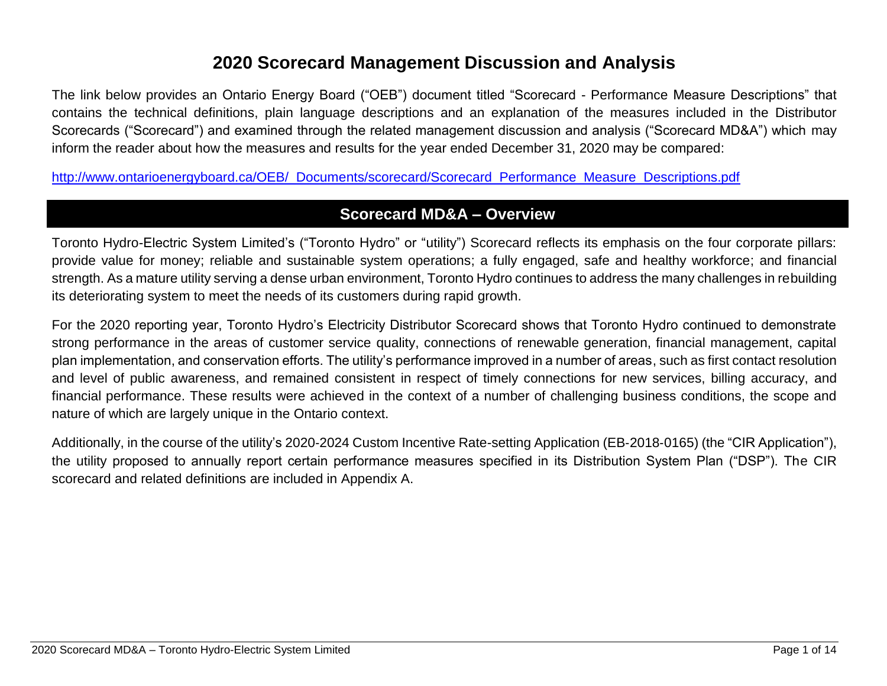# **2020 Scorecard Management Discussion and Analysis**

The link below provides an Ontario Energy Board ("OEB") document titled "Scorecard - Performance Measure Descriptions" that contains the technical definitions, plain language descriptions and an explanation of the measures included in the Distributor Scorecards ("Scorecard") and examined through the related management discussion and analysis ("Scorecard MD&A") which may inform the reader about how the measures and results for the year ended December 31, 2020 may be compared:

[http://www.ontarioenergyboard.ca/OEB/\\_Documents/scorecard/Scorecard\\_Performance\\_Measure\\_Descriptions.pdf](http://www.ontarioenergyboard.ca/OEB/_Documents/scorecard/Scorecard_Performance_Measure_Descriptions.pdf)

# **Scorecard MD&A – Overview**

Toronto Hydro-Electric System Limited's ("Toronto Hydro" or "utility") Scorecard reflects its emphasis on the four corporate pillars: provide value for money; reliable and sustainable system operations; a fully engaged, safe and healthy workforce; and financial strength. As a mature utility serving a dense urban environment, Toronto Hydro continues to address the many challenges in rebuilding its deteriorating system to meet the needs of its customers during rapid growth.

For the 2020 reporting year, Toronto Hydro's Electricity Distributor Scorecard shows that Toronto Hydro continued to demonstrate strong performance in the areas of customer service quality, connections of renewable generation, financial management, capital plan implementation, and conservation efforts. The utility's performance improved in a number of areas, such as first contact resolution and level of public awareness, and remained consistent in respect of timely connections for new services, billing accuracy, and financial performance. These results were achieved in the context of a number of challenging business conditions, the scope and nature of which are largely unique in the Ontario context.

Additionally, in the course of the utility's 2020‐2024 Custom Incentive Rate-setting Application (EB‐2018‐0165) (the "CIR Application"), the utility proposed to annually report certain performance measures specified in its Distribution System Plan ("DSP"). The CIR scorecard and related definitions are included in Appendix A.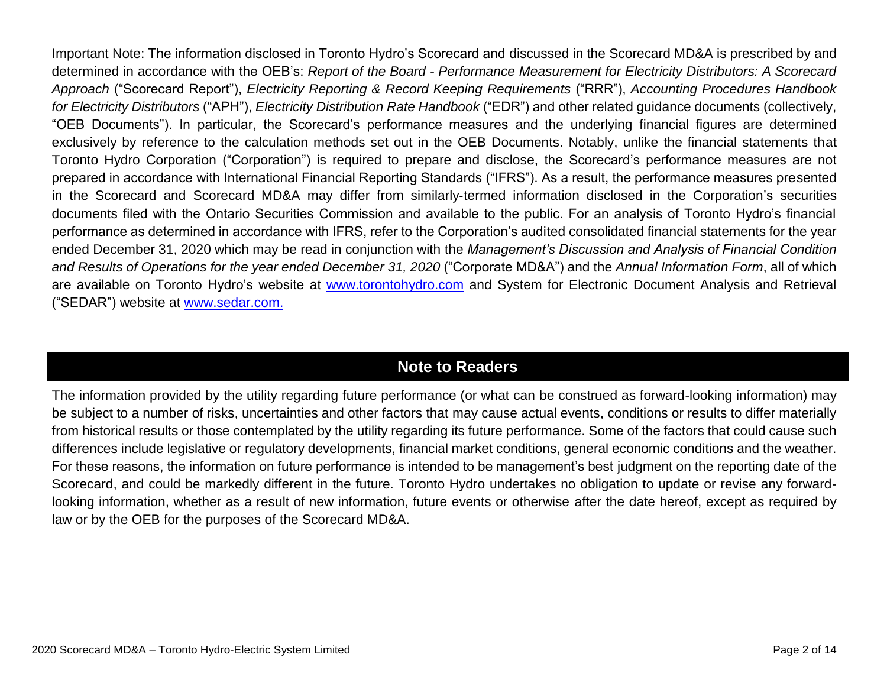Important Note: The information disclosed in Toronto Hydro's Scorecard and discussed in the Scorecard MD&A is prescribed by and determined in accordance with the OEB's: *Report of the Board - Performance Measurement for Electricity Distributors: A Scorecard Approach* ("Scorecard Report"), *Electricity Reporting & Record Keeping Requirements* ("RRR"), *Accounting Procedures Handbook for Electricity Distributors* ("APH"), *Electricity Distribution Rate Handbook* ("EDR") and other related guidance documents (collectively, "OEB Documents"). In particular, the Scorecard's performance measures and the underlying financial figures are determined exclusively by reference to the calculation methods set out in the OEB Documents. Notably, unlike the financial statements that Toronto Hydro Corporation ("Corporation") is required to prepare and disclose, the Scorecard's performance measures are not prepared in accordance with International Financial Reporting Standards ("IFRS"). As a result, the performance measures presented in the Scorecard and Scorecard MD&A may differ from similarly‐termed information disclosed in the Corporation's securities documents filed with the Ontario Securities Commission and available to the public. For an analysis of Toronto Hydro's financial performance as determined in accordance with IFRS, refer to the Corporation's audited consolidated financial statements for the year ended December 31, 2020 which may be read in conjunction with the *Management's Discussion and Analysis of Financial Condition and Results of Operations for the year ended December 31, 2020* ("Corporate MD&A") and the *Annual Information Form*, all of which are available on Toronto Hydro's website at [www.torontohydro.com](http://www.torontohydro.com/sites/corporate/InvestorRelations/FinancialReports/Pages/FinancialReports.aspx) and System for Electronic Document Analysis and Retrieval ("SEDAR") website at [www.sedar.com.](https://www.sedar.com/DisplayCompanyDocuments.do?lang=EN&issuerNo=00019159)

# **Note to Readers**

The information provided by the utility regarding future performance (or what can be construed as forward-looking information) may be subject to a number of risks, uncertainties and other factors that may cause actual events, conditions or results to differ materially from historical results or those contemplated by the utility regarding its future performance. Some of the factors that could cause such differences include legislative or regulatory developments, financial market conditions, general economic conditions and the weather. For these reasons, the information on future performance is intended to be management's best judgment on the reporting date of the Scorecard, and could be markedly different in the future. Toronto Hydro undertakes no obligation to update or revise any forwardlooking information, whether as a result of new information, future events or otherwise after the date hereof, except as required by law or by the OEB for the purposes of the Scorecard MD&A.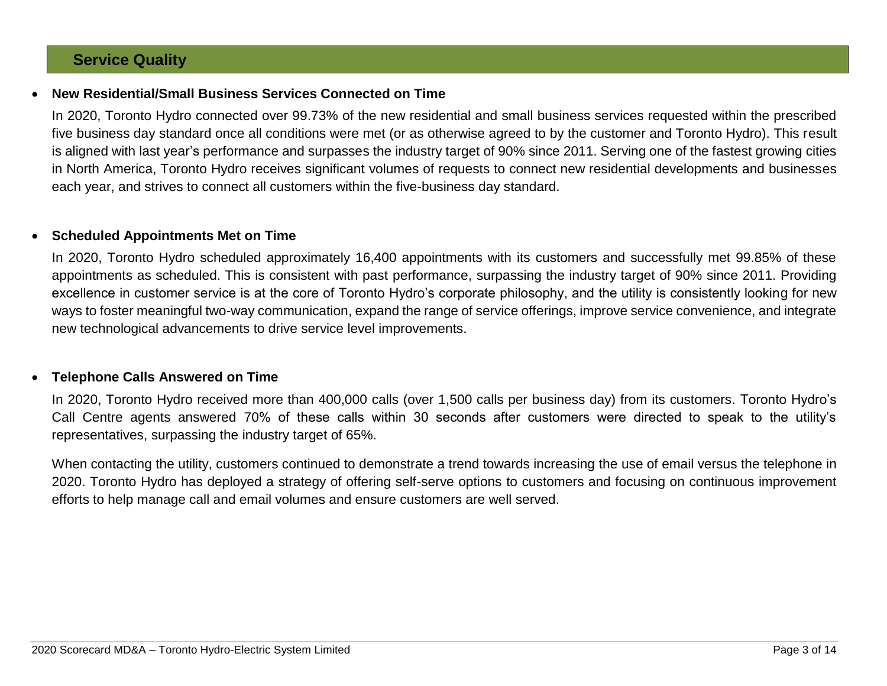## **Service Quality**

### • **New Residential/Small Business Services Connected on Time**

In 2020, Toronto Hydro connected over 99.73% of the new residential and small business services requested within the prescribed five business day standard once all conditions were met (or as otherwise agreed to by the customer and Toronto Hydro). This result is aligned with last year's performance and surpasses the industry target of 90% since 2011. Serving one of the fastest growing cities in North America, Toronto Hydro receives significant volumes of requests to connect new residential developments and businesses each year, and strives to connect all customers within the five-business day standard.

#### • **Scheduled Appointments Met on Time**

In 2020, Toronto Hydro scheduled approximately 16,400 appointments with its customers and successfully met 99.85% of these appointments as scheduled. This is consistent with past performance, surpassing the industry target of 90% since 2011. Providing excellence in customer service is at the core of Toronto Hydro's corporate philosophy, and the utility is consistently looking for new ways to foster meaningful two-way communication, expand the range of service offerings, improve service convenience, and integrate new technological advancements to drive service level improvements.

#### • **Telephone Calls Answered on Time**

In 2020, Toronto Hydro received more than 400,000 calls (over 1,500 calls per business day) from its customers. Toronto Hydro's Call Centre agents answered 70% of these calls within 30 seconds after customers were directed to speak to the utility's representatives, surpassing the industry target of 65%.

When contacting the utility, customers continued to demonstrate a trend towards increasing the use of email versus the telephone in 2020. Toronto Hydro has deployed a strategy of offering self-serve options to customers and focusing on continuous improvement efforts to help manage call and email volumes and ensure customers are well served.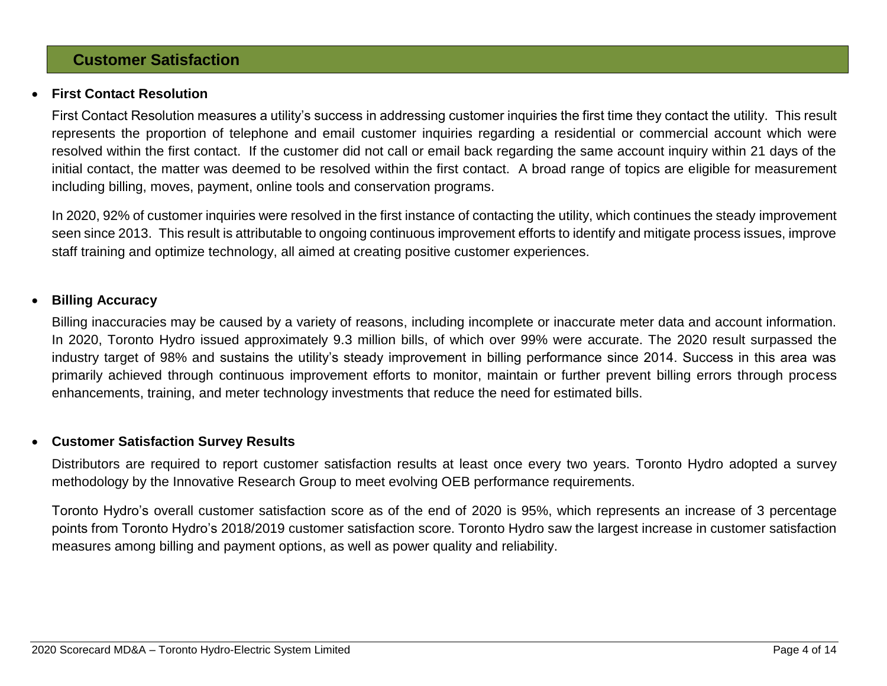### **Customer Satisfaction**

#### • **First Contact Resolution**

First Contact Resolution measures a utility's success in addressing customer inquiries the first time they contact the utility. This result represents the proportion of telephone and email customer inquiries regarding a residential or commercial account which were resolved within the first contact. If the customer did not call or email back regarding the same account inquiry within 21 days of the initial contact, the matter was deemed to be resolved within the first contact. A broad range of topics are eligible for measurement including billing, moves, payment, online tools and conservation programs.

In 2020, 92% of customer inquiries were resolved in the first instance of contacting the utility, which continues the steady improvement seen since 2013. This result is attributable to ongoing continuous improvement efforts to identify and mitigate process issues, improve staff training and optimize technology, all aimed at creating positive customer experiences.

#### • **Billing Accuracy**

Billing inaccuracies may be caused by a variety of reasons, including incomplete or inaccurate meter data and account information. In 2020, Toronto Hydro issued approximately 9.3 million bills, of which over 99% were accurate. The 2020 result surpassed the industry target of 98% and sustains the utility's steady improvement in billing performance since 2014. Success in this area was primarily achieved through continuous improvement efforts to monitor, maintain or further prevent billing errors through process enhancements, training, and meter technology investments that reduce the need for estimated bills.

#### • **Customer Satisfaction Survey Results**

Distributors are required to report customer satisfaction results at least once every two years. Toronto Hydro adopted a survey methodology by the Innovative Research Group to meet evolving OEB performance requirements.

Toronto Hydro's overall customer satisfaction score as of the end of 2020 is 95%, which represents an increase of 3 percentage points from Toronto Hydro's 2018/2019 customer satisfaction score. Toronto Hydro saw the largest increase in customer satisfaction measures among billing and payment options, as well as power quality and reliability.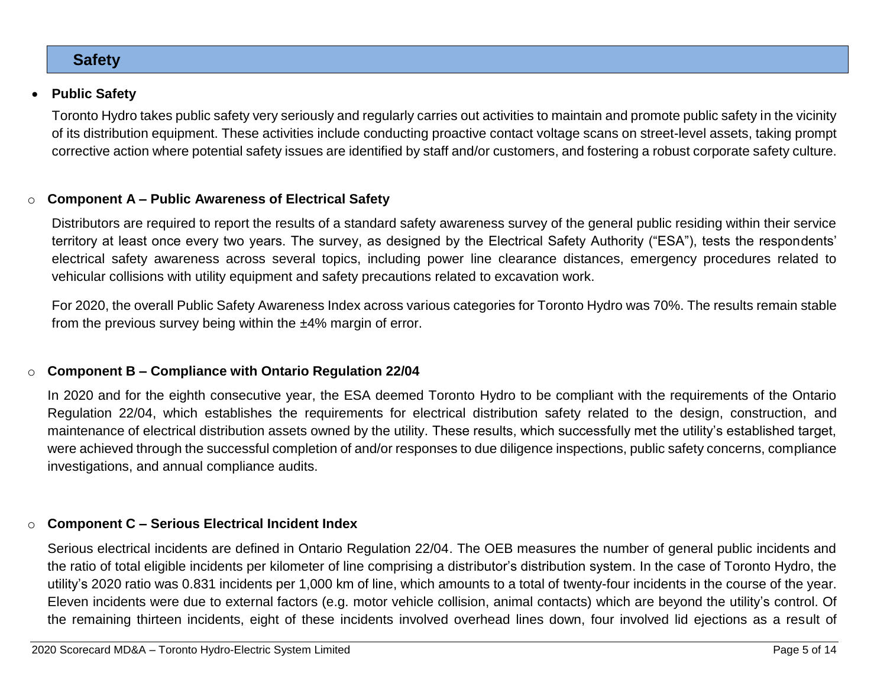**Safety**

• **Public Safety**

Toronto Hydro takes public safety very seriously and regularly carries out activities to maintain and promote public safety in the vicinity of its distribution equipment. These activities include conducting proactive contact voltage scans on street-level assets, taking prompt corrective action where potential safety issues are identified by staff and/or customers, and fostering a robust corporate safety culture.

#### o **Component A – Public Awareness of Electrical Safety**

Distributors are required to report the results of a standard safety awareness survey of the general public residing within their service territory at least once every two years. The survey, as designed by the Electrical Safety Authority ("ESA"), tests the respondents' electrical safety awareness across several topics, including power line clearance distances, emergency procedures related to vehicular collisions with utility equipment and safety precautions related to excavation work.

For 2020, the overall Public Safety Awareness Index across various categories for Toronto Hydro was 70%. The results remain stable from the previous survey being within the ±4% margin of error.

#### o **Component B – Compliance with Ontario Regulation 22/04**

In 2020 and for the eighth consecutive year, the ESA deemed Toronto Hydro to be compliant with the requirements of the Ontario Regulation 22/04, which establishes the requirements for electrical distribution safety related to the design, construction, and maintenance of electrical distribution assets owned by the utility. These results, which successfully met the utility's established target, were achieved through the successful completion of and/or responses to due diligence inspections, public safety concerns, compliance investigations, and annual compliance audits.

#### o **Component C – Serious Electrical Incident Index**

Serious electrical incidents are defined in Ontario Regulation 22/04. The OEB measures the number of general public incidents and the ratio of total eligible incidents per kilometer of line comprising a distributor's distribution system. In the case of Toronto Hydro, the utility's 2020 ratio was 0.831 incidents per 1,000 km of line, which amounts to a total of twenty-four incidents in the course of the year. Eleven incidents were due to external factors (e.g. motor vehicle collision, animal contacts) which are beyond the utility's control. Of the remaining thirteen incidents, eight of these incidents involved overhead lines down, four involved lid ejections as a result of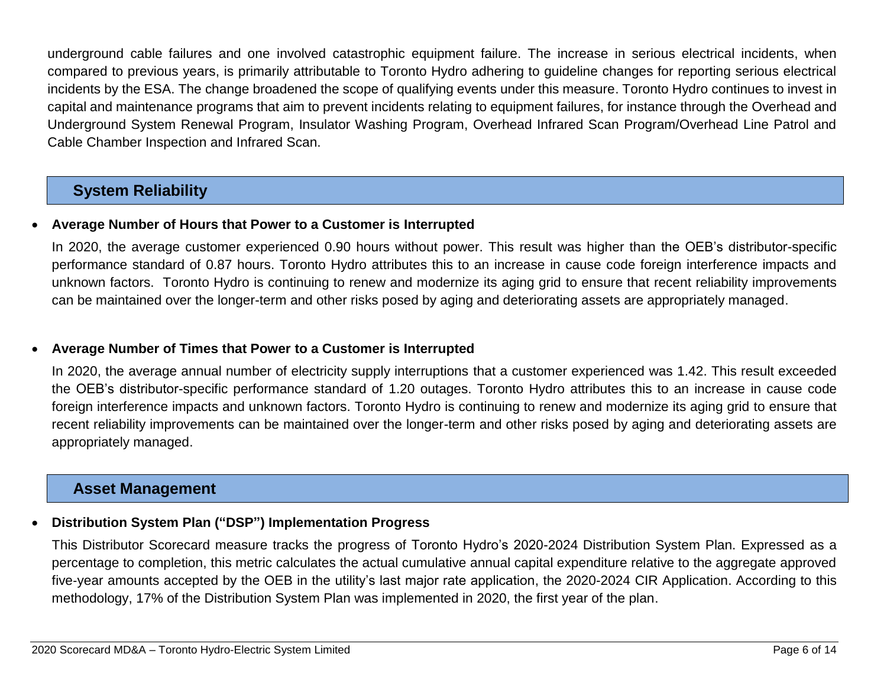underground cable failures and one involved catastrophic equipment failure. The increase in serious electrical incidents, when compared to previous years, is primarily attributable to Toronto Hydro adhering to guideline changes for reporting serious electrical incidents by the ESA. The change broadened the scope of qualifying events under this measure. Toronto Hydro continues to invest in capital and maintenance programs that aim to prevent incidents relating to equipment failures, for instance through the Overhead and Underground System Renewal Program, Insulator Washing Program, Overhead Infrared Scan Program/Overhead Line Patrol and Cable Chamber Inspection and Infrared Scan.

# **System Reliability**

### • **Average Number of Hours that Power to a Customer is Interrupted**

In 2020, the average customer experienced 0.90 hours without power. This result was higher than the OEB's distributor-specific performance standard of 0.87 hours. Toronto Hydro attributes this to an increase in cause code foreign interference impacts and unknown factors. Toronto Hydro is continuing to renew and modernize its aging grid to ensure that recent reliability improvements can be maintained over the longer-term and other risks posed by aging and deteriorating assets are appropriately managed.

### • **Average Number of Times that Power to a Customer is Interrupted**

In 2020, the average annual number of electricity supply interruptions that a customer experienced was 1.42. This result exceeded the OEB's distributor-specific performance standard of 1.20 outages. Toronto Hydro attributes this to an increase in cause code foreign interference impacts and unknown factors. Toronto Hydro is continuing to renew and modernize its aging grid to ensure that recent reliability improvements can be maintained over the longer-term and other risks posed by aging and deteriorating assets are appropriately managed.

## **Asset Management**

### • **Distribution System Plan ("DSP") Implementation Progress**

This Distributor Scorecard measure tracks the progress of Toronto Hydro's 2020-2024 Distribution System Plan. Expressed as a percentage to completion, this metric calculates the actual cumulative annual capital expenditure relative to the aggregate approved five-year amounts accepted by the OEB in the utility's last major rate application, the 2020-2024 CIR Application. According to this methodology, 17% of the Distribution System Plan was implemented in 2020, the first year of the plan.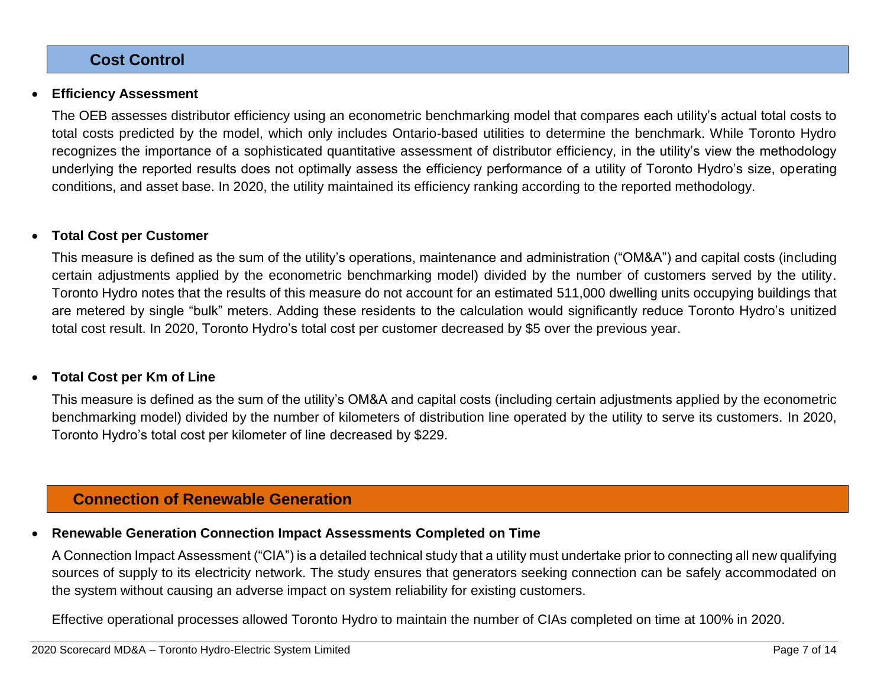## **Cost Control**

#### • **Efficiency Assessment**

The OEB assesses distributor efficiency using an econometric benchmarking model that compares each utility's actual total costs to total costs predicted by the model, which only includes Ontario-based utilities to determine the benchmark. While Toronto Hydro recognizes the importance of a sophisticated quantitative assessment of distributor efficiency, in the utility's view the methodology underlying the reported results does not optimally assess the efficiency performance of a utility of Toronto Hydro's size, operating conditions, and asset base. In 2020, the utility maintained its efficiency ranking according to the reported methodology.

### • **Total Cost per Customer**

This measure is defined as the sum of the utility's operations, maintenance and administration ("OM&A") and capital costs (including certain adjustments applied by the econometric benchmarking model) divided by the number of customers served by the utility. Toronto Hydro notes that the results of this measure do not account for an estimated 511,000 dwelling units occupying buildings that are metered by single "bulk" meters. Adding these residents to the calculation would significantly reduce Toronto Hydro's unitized total cost result. In 2020, Toronto Hydro's total cost per customer decreased by \$5 over the previous year.

### • **Total Cost per Km of Line**

This measure is defined as the sum of the utility's OM&A and capital costs (including certain adjustments applied by the econometric benchmarking model) divided by the number of kilometers of distribution line operated by the utility to serve its customers. In 2020, Toronto Hydro's total cost per kilometer of line decreased by \$229.

## **Connection of Renewable Generation**

### • **Renewable Generation Connection Impact Assessments Completed on Time**

A Connection Impact Assessment ("CIA") is a detailed technical study that a utility must undertake prior to connecting all new qualifying sources of supply to its electricity network. The study ensures that generators seeking connection can be safely accommodated on the system without causing an adverse impact on system reliability for existing customers.

Effective operational processes allowed Toronto Hydro to maintain the number of CIAs completed on time at 100% in 2020.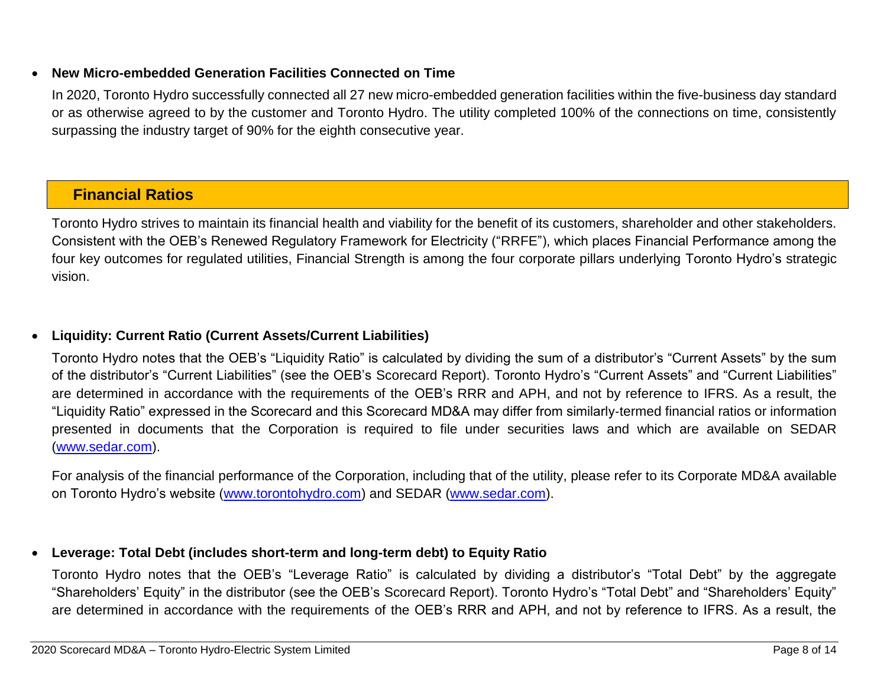### • **New Micro-embedded Generation Facilities Connected on Time**

In 2020, Toronto Hydro successfully connected all 27 new micro-embedded generation facilities within the five-business day standard or as otherwise agreed to by the customer and Toronto Hydro. The utility completed 100% of the connections on time, consistently surpassing the industry target of 90% for the eighth consecutive year.

# **Financial Ratios**

Toronto Hydro strives to maintain its financial health and viability for the benefit of its customers, shareholder and other stakeholders. Consistent with the OEB's Renewed Regulatory Framework for Electricity ("RRFE"), which places Financial Performance among the four key outcomes for regulated utilities, Financial Strength is among the four corporate pillars underlying Toronto Hydro's strategic vision.

### • **Liquidity: Current Ratio (Current Assets/Current Liabilities)**

Toronto Hydro notes that the OEB's "Liquidity Ratio" is calculated by dividing the sum of a distributor's "Current Assets" by the sum of the distributor's "Current Liabilities" (see the OEB's Scorecard Report). Toronto Hydro's "Current Assets" and "Current Liabilities" are determined in accordance with the requirements of the OEB's RRR and APH, and not by reference to IFRS. As a result, the "Liquidity Ratio" expressed in the Scorecard and this Scorecard MD&A may differ from similarly‐termed financial ratios or information presented in documents that the Corporation is required to file under securities laws and which are available on SEDAR [\(www.sedar.com\)](https://www.sedar.com/DisplayCompanyDocuments.do?lang=EN&issuerNo=00019159).

For analysis of the financial performance of the Corporation, including that of the utility, please refer to its Corporate MD&A available on Toronto Hydro's website [\(www.torontohydro.com\)](http://www.torontohydro.com/sites/corporate/InvestorRelations/FinancialReports/Pages/FinancialReports.aspx) and SEDAR [\(www.sedar.com\)](https://www.sedar.com/DisplayCompanyDocuments.do?lang=EN&issuerNo=00019159).

### • **Leverage: Total Debt (includes short-term and long-term debt) to Equity Ratio**

Toronto Hydro notes that the OEB's "Leverage Ratio" is calculated by dividing a distributor's "Total Debt" by the aggregate "Shareholders' Equity" in the distributor (see the OEB's Scorecard Report). Toronto Hydro's "Total Debt" and "Shareholders' Equity" are determined in accordance with the requirements of the OEB's RRR and APH, and not by reference to IFRS. As a result, the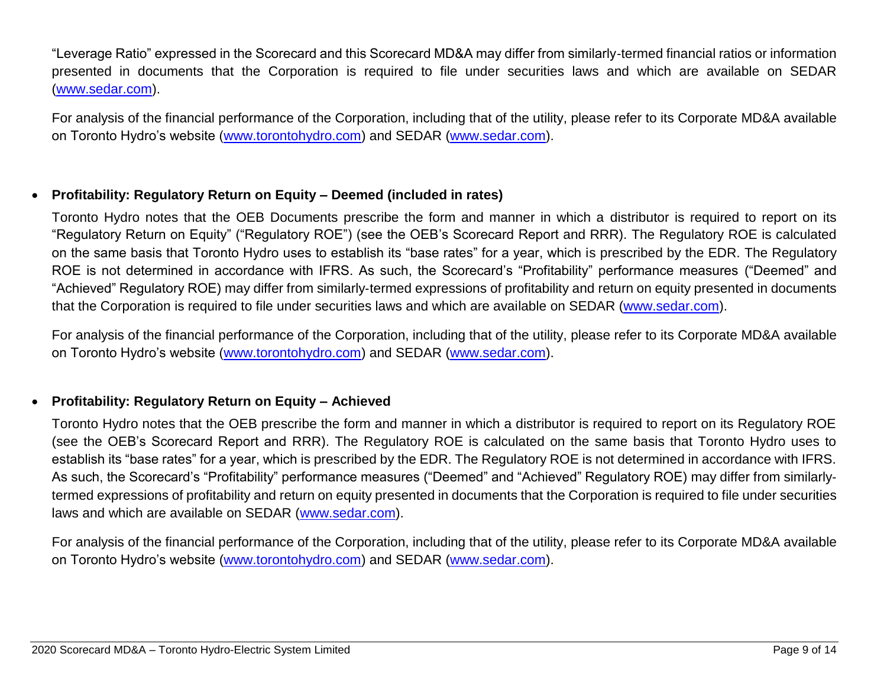"Leverage Ratio" expressed in the Scorecard and this Scorecard MD&A may differ from similarly‐termed financial ratios or information presented in documents that the Corporation is required to file under securities laws and which are available on SEDAR [\(www.sedar.com\)](https://www.sedar.com/DisplayCompanyDocuments.do?lang=EN&issuerNo=00019159).

For analysis of the financial performance of the Corporation, including that of the utility, please refer to its Corporate MD&A available on Toronto Hydro's website [\(www.torontohydro.com\)](http://www.torontohydro.com/sites/corporate/InvestorRelations/FinancialReports/Pages/FinancialReports.aspx) and SEDAR [\(www.sedar.com\)](https://www.sedar.com/DisplayCompanyDocuments.do?lang=EN&issuerNo=00019159).

### • **Profitability: Regulatory Return on Equity – Deemed (included in rates)**

Toronto Hydro notes that the OEB Documents prescribe the form and manner in which a distributor is required to report on its "Regulatory Return on Equity" ("Regulatory ROE") (see the OEB's Scorecard Report and RRR). The Regulatory ROE is calculated on the same basis that Toronto Hydro uses to establish its "base rates" for a year, which is prescribed by the EDR. The Regulatory ROE is not determined in accordance with IFRS. As such, the Scorecard's "Profitability" performance measures ("Deemed" and "Achieved" Regulatory ROE) may differ from similarly‐termed expressions of profitability and return on equity presented in documents that the Corporation is required to file under securities laws and which are available on SEDAR [\(www.sedar.com\)](https://www.sedar.com/DisplayCompanyDocuments.do?lang=EN&issuerNo=00019159).

For analysis of the financial performance of the Corporation, including that of the utility, please refer to its Corporate MD&A available on Toronto Hydro's website [\(www.torontohydro.com\)](http://www.torontohydro.com/sites/corporate/InvestorRelations/FinancialReports/Pages/FinancialReports.aspx) and SEDAR [\(www.sedar.com\)](https://www.sedar.com/DisplayCompanyDocuments.do?lang=EN&issuerNo=00019159).

### • **Profitability: Regulatory Return on Equity – Achieved**

Toronto Hydro notes that the OEB prescribe the form and manner in which a distributor is required to report on its Regulatory ROE (see the OEB's Scorecard Report and RRR). The Regulatory ROE is calculated on the same basis that Toronto Hydro uses to establish its "base rates" for a year, which is prescribed by the EDR. The Regulatory ROE is not determined in accordance with IFRS. As such, the Scorecard's "Profitability" performance measures ("Deemed" and "Achieved" Regulatory ROE) may differ from similarly‐ termed expressions of profitability and return on equity presented in documents that the Corporation is required to file under securities laws and which are available on SEDAR [\(www.sedar.com\)](https://www.sedar.com/DisplayCompanyDocuments.do?lang=EN&issuerNo=00019159).

For analysis of the financial performance of the Corporation, including that of the utility, please refer to its Corporate MD&A available on Toronto Hydro's website [\(www.torontohydro.com\)](http://www.torontohydro.com/sites/corporate/InvestorRelations/FinancialReports/Pages/FinancialReports.aspx) and SEDAR [\(www.sedar.com\)](https://www.sedar.com/DisplayCompanyDocuments.do?lang=EN&issuerNo=00019159).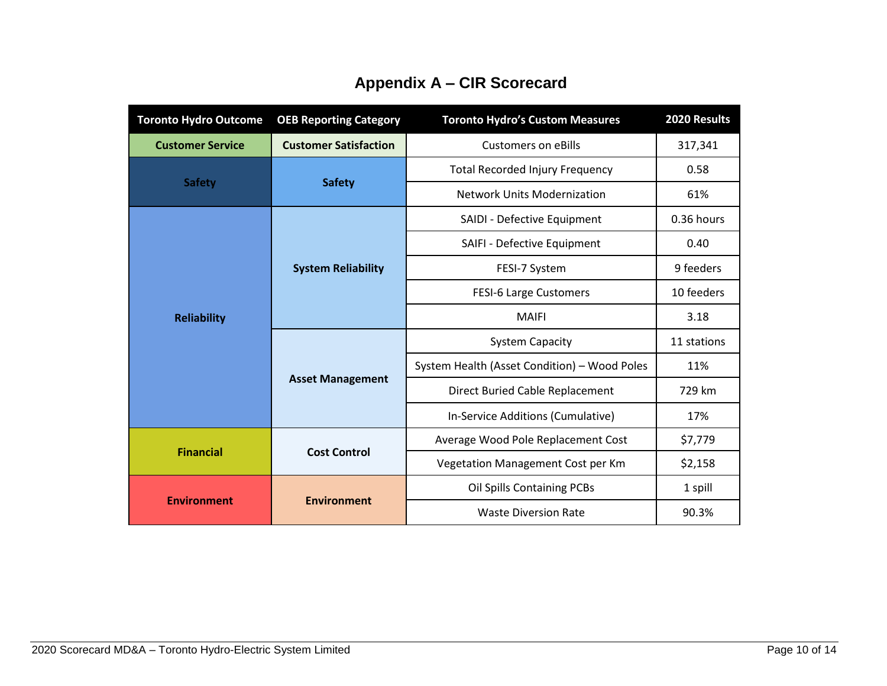| <b>Toronto Hydro Outcome</b> | <b>OEB Reporting Category</b> | <b>Toronto Hydro's Custom Measures</b>       | 2020 Results |  |
|------------------------------|-------------------------------|----------------------------------------------|--------------|--|
| <b>Customer Service</b>      | <b>Customer Satisfaction</b>  | <b>Customers on eBills</b>                   | 317,341      |  |
|                              |                               | <b>Total Recorded Injury Frequency</b>       | 0.58         |  |
| <b>Safety</b>                | <b>Safety</b>                 | <b>Network Units Modernization</b>           | 61%          |  |
|                              |                               | SAIDI - Defective Equipment                  | 0.36 hours   |  |
|                              |                               | SAIFI - Defective Equipment                  | 0.40         |  |
|                              | <b>System Reliability</b>     | FESI-7 System                                | 9 feeders    |  |
|                              |                               | <b>FESI-6 Large Customers</b>                | 10 feeders   |  |
| <b>Reliability</b>           |                               | <b>MAIFI</b>                                 | 3.18         |  |
|                              |                               | <b>System Capacity</b>                       | 11 stations  |  |
|                              |                               | System Health (Asset Condition) - Wood Poles | 11%          |  |
|                              | <b>Asset Management</b>       | Direct Buried Cable Replacement              | 729 km       |  |
|                              |                               | In-Service Additions (Cumulative)            | 17%          |  |
|                              |                               | Average Wood Pole Replacement Cost           | \$7,779      |  |
| <b>Financial</b>             | <b>Cost Control</b>           | Vegetation Management Cost per Km            | \$2,158      |  |
|                              |                               | <b>Oil Spills Containing PCBs</b>            | 1 spill      |  |
| <b>Environment</b>           | <b>Environment</b>            | <b>Waste Diversion Rate</b>                  | 90.3%        |  |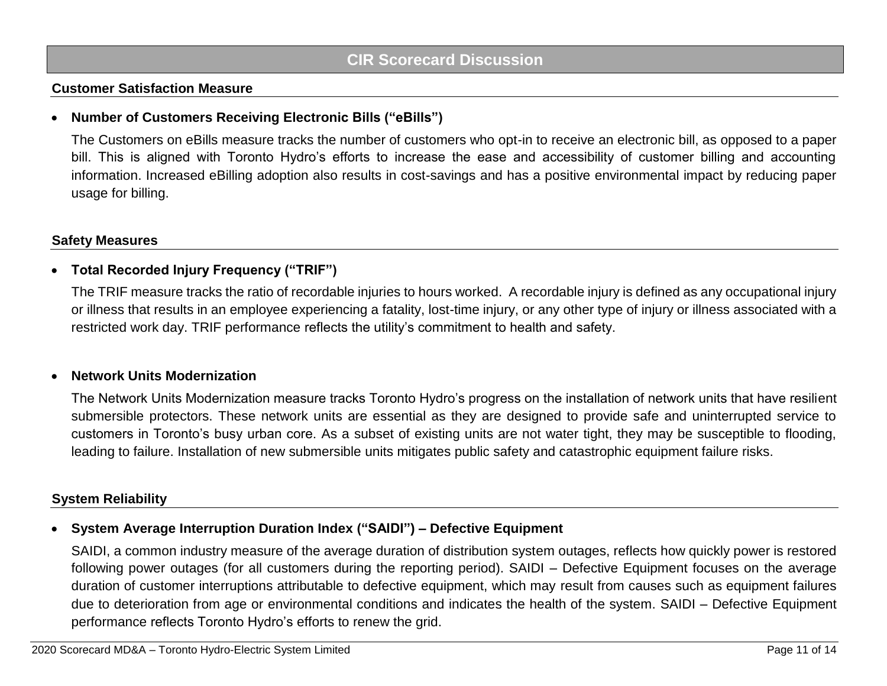### **Customer Satisfaction Measure**

### • **Number of Customers Receiving Electronic Bills ("eBills")**

The Customers on eBills measure tracks the number of customers who opt-in to receive an electronic bill, as opposed to a paper bill. This is aligned with Toronto Hydro's efforts to increase the ease and accessibility of customer billing and accounting information. Increased eBilling adoption also results in cost-savings and has a positive environmental impact by reducing paper usage for billing.

### **Safety Measures**

### • **Total Recorded Injury Frequency ("TRIF")**

The TRIF measure tracks the ratio of recordable injuries to hours worked. A recordable injury is defined as any occupational injury or illness that results in an employee experiencing a fatality, lost-time injury, or any other type of injury or illness associated with a restricted work day. TRIF performance reflects the utility's commitment to health and safety.

#### • **Network Units Modernization**

The Network Units Modernization measure tracks Toronto Hydro's progress on the installation of network units that have resilient submersible protectors. These network units are essential as they are designed to provide safe and uninterrupted service to customers in Toronto's busy urban core. As a subset of existing units are not water tight, they may be susceptible to flooding, leading to failure. Installation of new submersible units mitigates public safety and catastrophic equipment failure risks.

### **System Reliability**

### • **System Average Interruption Duration Index ("SAIDI") – Defective Equipment**

SAIDI, a common industry measure of the average duration of distribution system outages, reflects how quickly power is restored following power outages (for all customers during the reporting period). SAIDI – Defective Equipment focuses on the average duration of customer interruptions attributable to defective equipment, which may result from causes such as equipment failures due to deterioration from age or environmental conditions and indicates the health of the system. SAIDI – Defective Equipment performance reflects Toronto Hydro's efforts to renew the grid.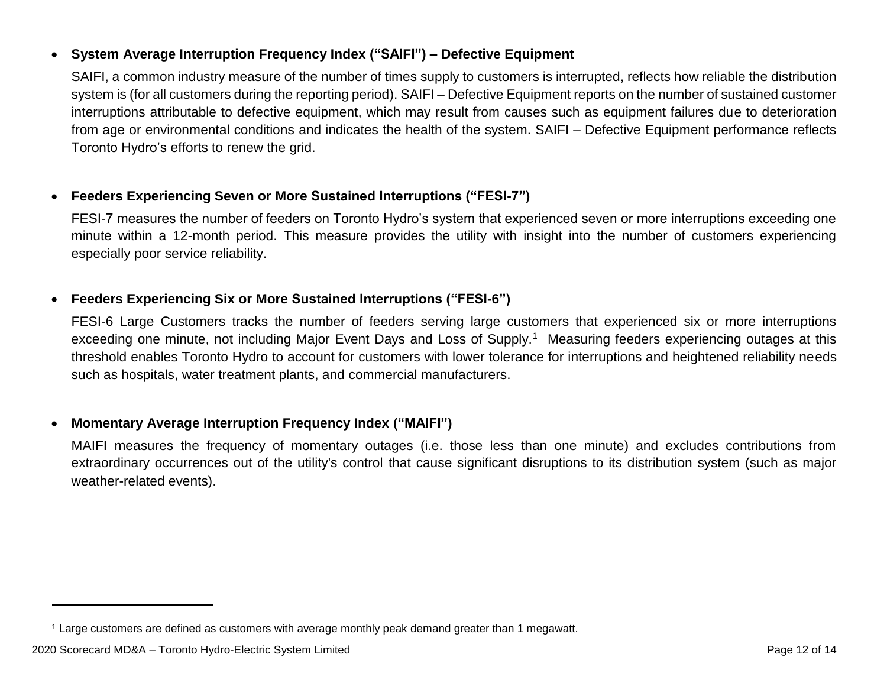### • **System Average Interruption Frequency Index ("SAIFI") – Defective Equipment**

SAIFI, a common industry measure of the number of times supply to customers is interrupted, reflects how reliable the distribution system is (for all customers during the reporting period). SAIFI – Defective Equipment reports on the number of sustained customer interruptions attributable to defective equipment, which may result from causes such as equipment failures due to deterioration from age or environmental conditions and indicates the health of the system. SAIFI – Defective Equipment performance reflects Toronto Hydro's efforts to renew the grid.

### • **Feeders Experiencing Seven or More Sustained Interruptions ("FESI-7")**

FESI-7 measures the number of feeders on Toronto Hydro's system that experienced seven or more interruptions exceeding one minute within a 12-month period. This measure provides the utility with insight into the number of customers experiencing especially poor service reliability.

### • **Feeders Experiencing Six or More Sustained Interruptions ("FESI-6")**

FESI-6 Large Customers tracks the number of feeders serving large customers that experienced six or more interruptions exceeding one minute, not including Major Event Days and Loss of Supply.<sup>1</sup> Measuring feeders experiencing outages at this threshold enables Toronto Hydro to account for customers with lower tolerance for interruptions and heightened reliability needs such as hospitals, water treatment plants, and commercial manufacturers.

### • **Momentary Average Interruption Frequency Index ("MAIFI")**

MAIFI measures the frequency of momentary outages (i.e. those less than one minute) and excludes contributions from extraordinary occurrences out of the utility's control that cause significant disruptions to its distribution system (such as major weather-related events).

l

<sup>1</sup> Large customers are defined as customers with average monthly peak demand greater than 1 megawatt.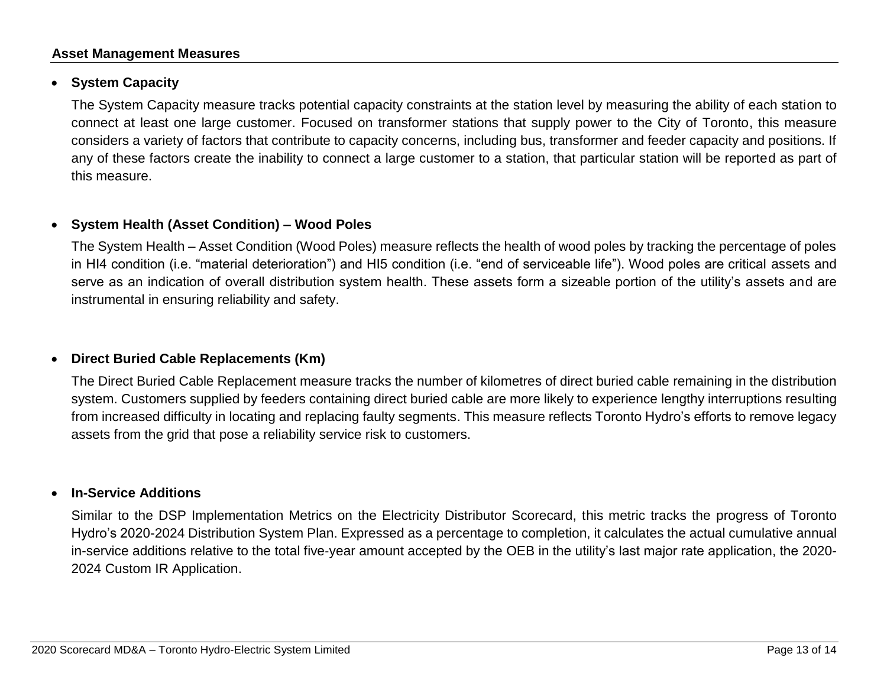### **Asset Management Measures**

### • **System Capacity**

The System Capacity measure tracks potential capacity constraints at the station level by measuring the ability of each station to connect at least one large customer. Focused on transformer stations that supply power to the City of Toronto, this measure considers a variety of factors that contribute to capacity concerns, including bus, transformer and feeder capacity and positions. If any of these factors create the inability to connect a large customer to a station, that particular station will be reported as part of this measure.

#### • **System Health (Asset Condition) – Wood Poles**

The System Health – Asset Condition (Wood Poles) measure reflects the health of wood poles by tracking the percentage of poles in HI4 condition (i.e. "material deterioration") and HI5 condition (i.e. "end of serviceable life"). Wood poles are critical assets and serve as an indication of overall distribution system health. These assets form a sizeable portion of the utility's assets and are instrumental in ensuring reliability and safety.

### • **Direct Buried Cable Replacements (Km)**

The Direct Buried Cable Replacement measure tracks the number of kilometres of direct buried cable remaining in the distribution system. Customers supplied by feeders containing direct buried cable are more likely to experience lengthy interruptions resulting from increased difficulty in locating and replacing faulty segments. This measure reflects Toronto Hydro's efforts to remove legacy assets from the grid that pose a reliability service risk to customers.

#### • **In-Service Additions**

Similar to the DSP Implementation Metrics on the Electricity Distributor Scorecard, this metric tracks the progress of Toronto Hydro's 2020-2024 Distribution System Plan. Expressed as a percentage to completion, it calculates the actual cumulative annual in-service additions relative to the total five‐year amount accepted by the OEB in the utility's last major rate application, the 2020- 2024 Custom IR Application.